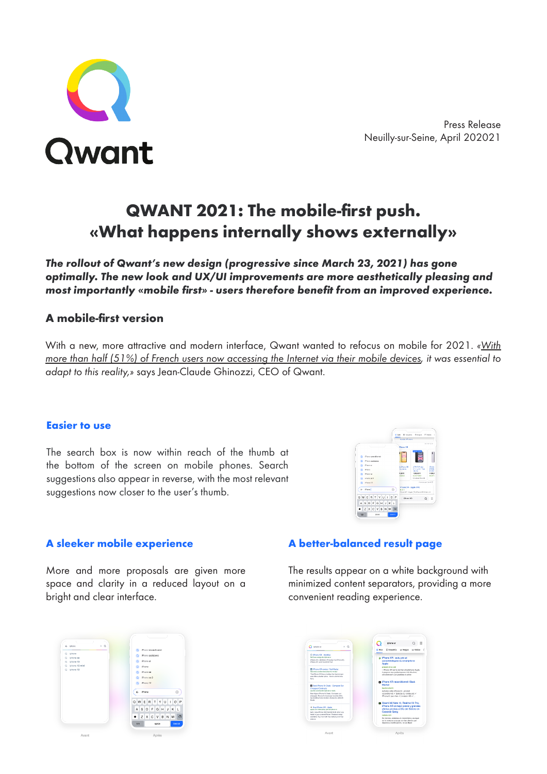

# **QWANT 2021: The mobile-first push. «What happens internally shows externally»**

*The rollout of Qwant's new design (progressive since March 23, 2021) has gone optimally. The new look and UX/UI improvements are more aesthetically pleasing and*  **most importantly «mobile first» - users therefore benefit from an improved experience.**

# **A mobile-first version**

With a new, more attractive and modern interface, Qwant wanted to refocus on mobile for 2021. *«With more than half (51%) of French users now accessing the Internet via their mobile devices, it was essential to adapt to this reality,»* says Jean-Claude Ghinozzi, CEO of Qwant.

# **Easier to use**

The search box is now within reach of the thumb at the bottom of the screen on mobile phones. Search suggestions also appear in reverse, with the most relevant suggestions now closer to the user's thumb.



# **A sleeker mobile experience**

More and more proposals are given more space and clarity in a reduced layout on a bright and clear interface.

# **A better-balanced result page**

The results appear on a white background with minimized content separators, providing a more convenient reading experience.



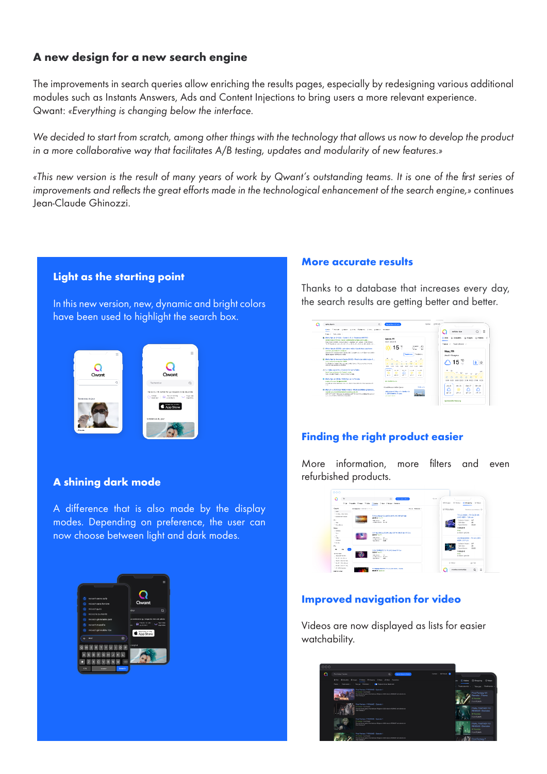# **A new design for a new search engine**

The improvements in search queries allow enriching the results pages, especially by redesigning various additional modules such as Instants Answers, Ads and Content Injections to bring users a more relevant experience. Qwant: *«Everything is changing below the interface.* 

We decided to start from scratch, among other things with the technology that allows us now to develop the product *in a more collaborative way that facilitates A/B testing, updates and modularity of new features.»*

«This new version is the result of many years of work by Qwant's outstanding teams. It is one of the first series of improvements and reflects the great efforts made in the technological enhancement of the search engine,» continues Jean-Claude Ghinozzi.



In this new version, new, dynamic and bright colors have been used to highlight the search box.



#### **A shining dark mode**

A difference that is also made by the display modes. Depending on preference, the user can now choose between light and dark modes.



#### **More accurate results**

Thanks to a database that increases every day, the search results are getting better and better.



# **Finding the right product easier**

More information, more filters and even refurbished products.



# **Improved navigation for video**

Videos are now displayed as lists for easier watchability.